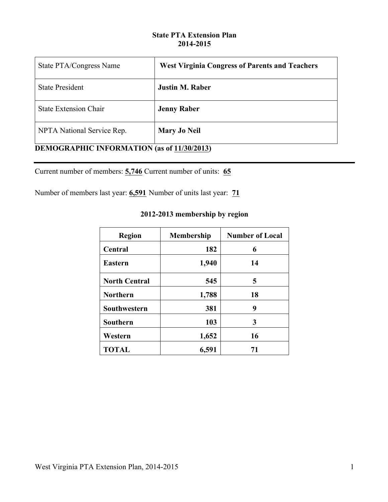## **State PTA Extension Plan 2014-2015**

| State PTA/Congress Name                           | <b>West Virginia Congress of Parents and Teachers</b> |  |
|---------------------------------------------------|-------------------------------------------------------|--|
| <b>State President</b>                            | <b>Justin M. Raber</b>                                |  |
| <b>State Extension Chair</b>                      | <b>Jenny Raber</b>                                    |  |
| NPTA National Service Rep.                        | <b>Mary Jo Neil</b>                                   |  |
| <b>DEMOGRAPHIC INFORMATION (as of 11/30/2013)</b> |                                                       |  |

Current number of members: **5,746** Current number of units: **65**

Number of members last year: **6,591** Number of units last year: **71**

## **2012-2013 membership by region**

| <b>Region</b>        | <b>Membership</b> | <b>Number of Local</b> |
|----------------------|-------------------|------------------------|
| Central              | 182               | 6                      |
| <b>Eastern</b>       | 1,940             | 14                     |
| <b>North Central</b> | 545               | 5                      |
| <b>Northern</b>      | 1,788             | 18                     |
| Southwestern         | 381               | 9                      |
| Southern             | 103               | 3                      |
| Western              | 1,652             | 16                     |
| <b>TOTAL</b>         | 6,591             | 71                     |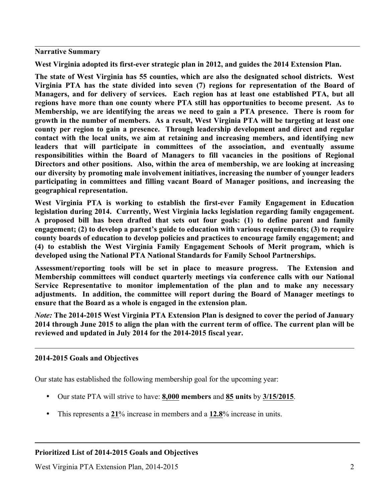**Narrative Summary**

**West Virginia adopted its first-ever strategic plan in 2012, and guides the 2014 Extension Plan.** 

**The state of West Virginia has 55 counties, which are also the designated school districts. West Virginia PTA has the state divided into seven (7) regions for representation of the Board of Managers, and for delivery of services. Each region has at least one established PTA, but all regions have more than one county where PTA still has opportunities to become present. As to Membership, we are identifying the areas we need to gain a PTA presence. There is room for growth in the number of members. As a result, West Virginia PTA will be targeting at least one county per region to gain a presence. Through leadership development and direct and regular contact with the local units, we aim at retaining and increasing members, and identifying new leaders that will participate in committees of the association, and eventually assume responsibilities within the Board of Managers to fill vacancies in the positions of Regional Directors and other positions. Also, within the area of membership, we are looking at increasing our diversity by promoting male involvement initiatives, increasing the number of younger leaders participating in committees and filling vacant Board of Manager positions, and increasing the geographical representation.**

**West Virginia PTA is working to establish the first-ever Family Engagement in Education legislation during 2014. Currently, West Virginia lacks legislation regarding family engagement. A proposed bill has been drafted that sets out four goals: (1) to define parent and family engagement; (2) to develop a parent's guide to education with various requirements; (3) to require county boards of education to develop policies and practices to encourage family engagement; and (4) to establish the West Virginia Family Engagement Schools of Merit program, which is developed using the National PTA National Standards for Family School Partnerships.** 

**Assessment/reporting tools will be set in place to measure progress. The Extension and Membership committees will conduct quarterly meetings via conference calls with our National Service Representative to monitor implementation of the plan and to make any necessary adjustments. In addition, the committee will report during the Board of Manager meetings to ensure that the Board as a whole is engaged in the extension plan.** 

*Note:* **The 2014-2015 West Virginia PTA Extension Plan is designed to cover the period of January 2014 through June 2015 to align the plan with the current term of office. The current plan will be reviewed and updated in July 2014 for the 2014-2015 fiscal year.** 

## **2014-2015 Goals and Objectives**

Our state has established the following membership goal for the upcoming year:

- Our state PTA will strive to have: **8,000 members** and **85 units** by **3/15/2015**.
- This represents a **21**% increase in members and a **12.8**% increase in units.

## **Prioritized List of 2014-2015 Goals and Objectives**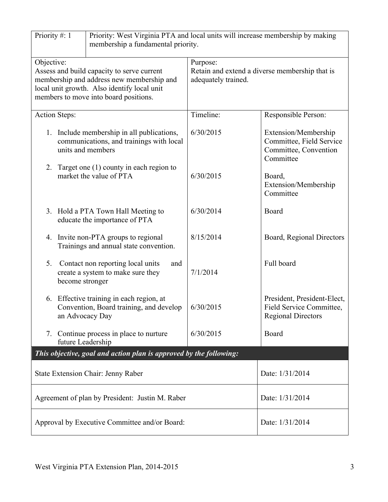| Priority #: 1<br>Priority: West Virginia PTA and local units will increase membership by making<br>membership a fundamental priority.                                                         |                                                                                                             |                                                                                   |                                                                                        |  |
|-----------------------------------------------------------------------------------------------------------------------------------------------------------------------------------------------|-------------------------------------------------------------------------------------------------------------|-----------------------------------------------------------------------------------|----------------------------------------------------------------------------------------|--|
| Objective:<br>Assess and build capacity to serve current<br>membership and address new membership and<br>local unit growth. Also identify local unit<br>members to move into board positions. |                                                                                                             | Purpose:<br>Retain and extend a diverse membership that is<br>adequately trained. |                                                                                        |  |
| <b>Action Steps:</b>                                                                                                                                                                          |                                                                                                             | Timeline:                                                                         | Responsible Person:                                                                    |  |
|                                                                                                                                                                                               | 1. Include membership in all publications,<br>communications, and trainings with local<br>units and members | 6/30/2015                                                                         | Extension/Membership<br>Committee, Field Service<br>Committee, Convention<br>Committee |  |
| 2.                                                                                                                                                                                            | Target one $(1)$ county in each region to<br>market the value of PTA                                        | 6/30/2015                                                                         | Board,<br>Extension/Membership<br>Committee                                            |  |
|                                                                                                                                                                                               | 3. Hold a PTA Town Hall Meeting to<br>educate the importance of PTA                                         | 6/30/2014                                                                         | Board                                                                                  |  |
|                                                                                                                                                                                               | 4. Invite non-PTA groups to regional<br>Trainings and annual state convention.                              | 8/15/2014                                                                         | Board, Regional Directors                                                              |  |
| 5.<br>become stronger                                                                                                                                                                         | Contact non reporting local units<br>and<br>create a system to make sure they                               | 7/1/2014                                                                          | Full board                                                                             |  |
|                                                                                                                                                                                               | 6. Effective training in each region, at<br>Convention, Board training, and develop<br>an Advocacy Day      | 6/30/2015                                                                         | President, President-Elect,<br>Field Service Committee,<br><b>Regional Directors</b>   |  |
| 7.                                                                                                                                                                                            | Continue process in place to nurture<br>future Leadership                                                   | 6/30/2015                                                                         | Board                                                                                  |  |
|                                                                                                                                                                                               | This objective, goal and action plan is approved by the following:                                          |                                                                                   |                                                                                        |  |
| State Extension Chair: Jenny Raber                                                                                                                                                            |                                                                                                             |                                                                                   | Date: 1/31/2014                                                                        |  |
| Agreement of plan by President: Justin M. Raber                                                                                                                                               |                                                                                                             |                                                                                   | Date: 1/31/2014                                                                        |  |
| Approval by Executive Committee and/or Board:                                                                                                                                                 |                                                                                                             | Date: 1/31/2014                                                                   |                                                                                        |  |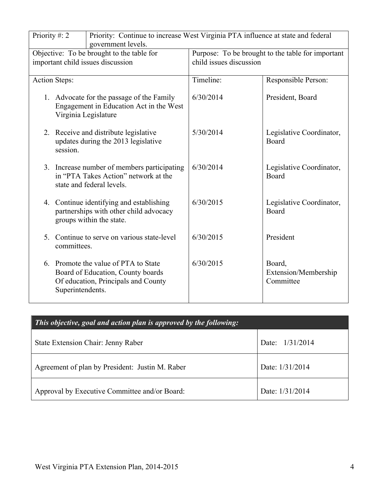| Priority: Continue to increase West Virginia PTA influence at state and federal<br>Priority #: 2<br>government levels. |                                                                                                                                      |                                                                              |                                             |
|------------------------------------------------------------------------------------------------------------------------|--------------------------------------------------------------------------------------------------------------------------------------|------------------------------------------------------------------------------|---------------------------------------------|
| Objective: To be brought to the table for<br>important child issues discussion                                         |                                                                                                                                      | Purpose: To be brought to the table for important<br>child issues discussion |                                             |
|                                                                                                                        | <b>Action Steps:</b>                                                                                                                 | Timeline:                                                                    | Responsible Person:                         |
|                                                                                                                        | 1. Advocate for the passage of the Family<br>Engagement in Education Act in the West<br>Virginia Legislature                         | 6/30/2014                                                                    | President, Board                            |
|                                                                                                                        | 2. Receive and distribute legislative<br>updates during the 2013 legislative<br>session.                                             | 5/30/2014                                                                    | Legislative Coordinator,<br>Board           |
|                                                                                                                        | 3. Increase number of members participating<br>in "PTA Takes Action" network at the<br>state and federal levels.                     | 6/30/2014                                                                    | Legislative Coordinator,<br>Board           |
|                                                                                                                        | 4. Continue identifying and establishing<br>partnerships with other child advocacy<br>groups within the state.                       | 6/30/2015                                                                    | Legislative Coordinator,<br>Board           |
|                                                                                                                        | 5. Continue to serve on various state-level<br>committees.                                                                           | 6/30/2015                                                                    | President                                   |
|                                                                                                                        | 6. Promote the value of PTA to State<br>Board of Education, County boards<br>Of education, Principals and County<br>Superintendents. | 6/30/2015                                                                    | Board,<br>Extension/Membership<br>Committee |

| This objective, goal and action plan is approved by the following: |                 |  |  |
|--------------------------------------------------------------------|-----------------|--|--|
| State Extension Chair: Jenny Raber                                 | Date: 1/31/2014 |  |  |
| Agreement of plan by President: Justin M. Raber                    | Date: 1/31/2014 |  |  |
| Approval by Executive Committee and/or Board:                      | Date: 1/31/2014 |  |  |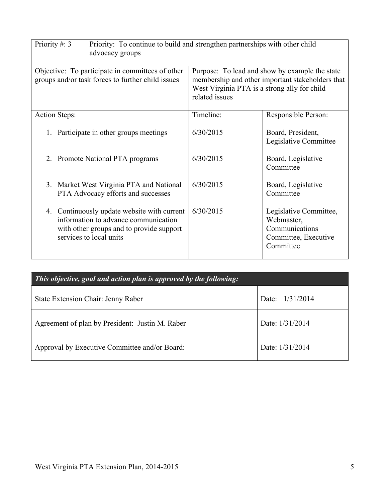| Priority #: 3                                                                                         | Priority: To continue to build and strengthen partnerships with other child<br>advocacy groups                                                             |                                                                                                                                                                      |                                                                                             |
|-------------------------------------------------------------------------------------------------------|------------------------------------------------------------------------------------------------------------------------------------------------------------|----------------------------------------------------------------------------------------------------------------------------------------------------------------------|---------------------------------------------------------------------------------------------|
| Objective: To participate in committees of other<br>groups and/or task forces to further child issues |                                                                                                                                                            | Purpose: To lead and show by example the state<br>membership and other important stakeholders that<br>West Virginia PTA is a strong ally for child<br>related issues |                                                                                             |
| <b>Action Steps:</b>                                                                                  |                                                                                                                                                            | Timeline:                                                                                                                                                            | Responsible Person:                                                                         |
| 1. Participate in other groups meetings                                                               |                                                                                                                                                            | 6/30/2015                                                                                                                                                            | Board, President,<br>Legislative Committee                                                  |
| 2. Promote National PTA programs                                                                      |                                                                                                                                                            | 6/30/2015                                                                                                                                                            | Board, Legislative<br>Committee                                                             |
|                                                                                                       | 3. Market West Virginia PTA and National<br>PTA Advocacy efforts and successes                                                                             | 6/30/2015                                                                                                                                                            | Board, Legislative<br>Committee                                                             |
|                                                                                                       | 4. Continuously update website with current<br>information to advance communication<br>with other groups and to provide support<br>services to local units | 6/30/2015                                                                                                                                                            | Legislative Committee,<br>Webmaster,<br>Communications<br>Committee, Executive<br>Committee |

| This objective, goal and action plan is approved by the following: |                 |  |  |
|--------------------------------------------------------------------|-----------------|--|--|
| State Extension Chair: Jenny Raber                                 | Date: 1/31/2014 |  |  |
| Agreement of plan by President: Justin M. Raber                    | Date: 1/31/2014 |  |  |
| Approval by Executive Committee and/or Board:                      | Date: 1/31/2014 |  |  |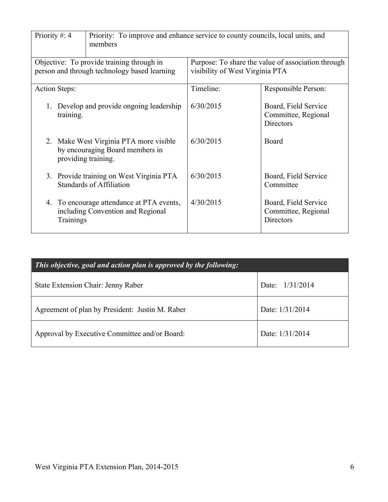| Priority #: 4                                                                             |                      | Priority: To improve and enhance service to county councils, local units, and<br>members |           |                                                                 |
|-------------------------------------------------------------------------------------------|----------------------|------------------------------------------------------------------------------------------|-----------|-----------------------------------------------------------------|
| Objective: To provide training through in<br>person and through technology based learning |                      | Purpose: To share the value of association through<br>visibility of West Virginia PTA    |           |                                                                 |
|                                                                                           | <b>Action Steps:</b> |                                                                                          | Timeline: | Responsible Person:                                             |
| 1.                                                                                        | training.            | Develop and provide ongoing leadership                                                   | 6/30/2015 | Board, Field Service<br>Committee, Regional<br><b>Directors</b> |
|                                                                                           | providing training.  | 2. Make West Virginia PTA more visible<br>by encouraging Board members in                | 6/30/2015 | Board                                                           |
|                                                                                           |                      | 3. Provide training on West Virginia PTA<br><b>Standards of Affiliation</b>              | 6/30/2015 | Board, Field Service<br>Committee                               |
|                                                                                           | Trainings            | 4. To encourage attendance at PTA events,<br>including Convention and Regional           | 4/30/2015 | Board, Field Service<br>Committee, Regional<br><b>Directors</b> |

| This objective, goal and action plan is approved by the following: |                   |  |  |
|--------------------------------------------------------------------|-------------------|--|--|
| State Extension Chair: Jenny Raber                                 | Date: $1/31/2014$ |  |  |
| Agreement of plan by President: Justin M. Raber                    | Date: 1/31/2014   |  |  |
| Approval by Executive Committee and/or Board:                      | Date: 1/31/2014   |  |  |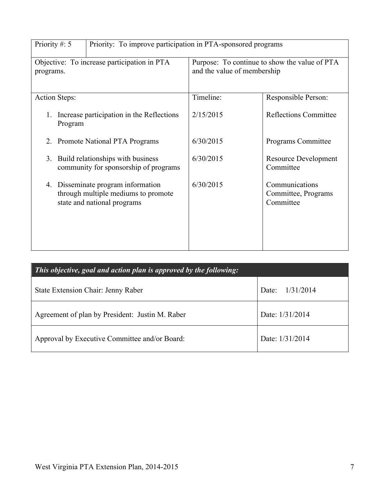| Priority #: 5                                                                                            | Priority: To improve participation in PTA-sponsored programs |                                                    |  |
|----------------------------------------------------------------------------------------------------------|--------------------------------------------------------------|----------------------------------------------------|--|
| Objective: To increase participation in PTA                                                              | Purpose: To continue to show the value of PTA                |                                                    |  |
| programs.                                                                                                | and the value of membership                                  |                                                    |  |
| <b>Action Steps:</b>                                                                                     | Timeline:                                                    | Responsible Person:                                |  |
| Increase participation in the Reflections<br>1.<br>Program                                               | 2/15/2015                                                    | <b>Reflections Committee</b>                       |  |
| 2. Promote National PTA Programs                                                                         | 6/30/2015                                                    | Programs Committee                                 |  |
| Build relationships with business<br>3.<br>community for sponsorship of programs                         | 6/30/2015                                                    | <b>Resource Development</b><br>Committee           |  |
| 4. Disseminate program information<br>through multiple mediums to promote<br>state and national programs | 6/30/2015                                                    | Communications<br>Committee, Programs<br>Committee |  |

| This objective, goal and action plan is approved by the following: |                   |  |  |
|--------------------------------------------------------------------|-------------------|--|--|
| State Extension Chair: Jenny Raber                                 | Date: $1/31/2014$ |  |  |
| Agreement of plan by President: Justin M. Raber                    | Date: 1/31/2014   |  |  |
| Approval by Executive Committee and/or Board:                      | Date: 1/31/2014   |  |  |